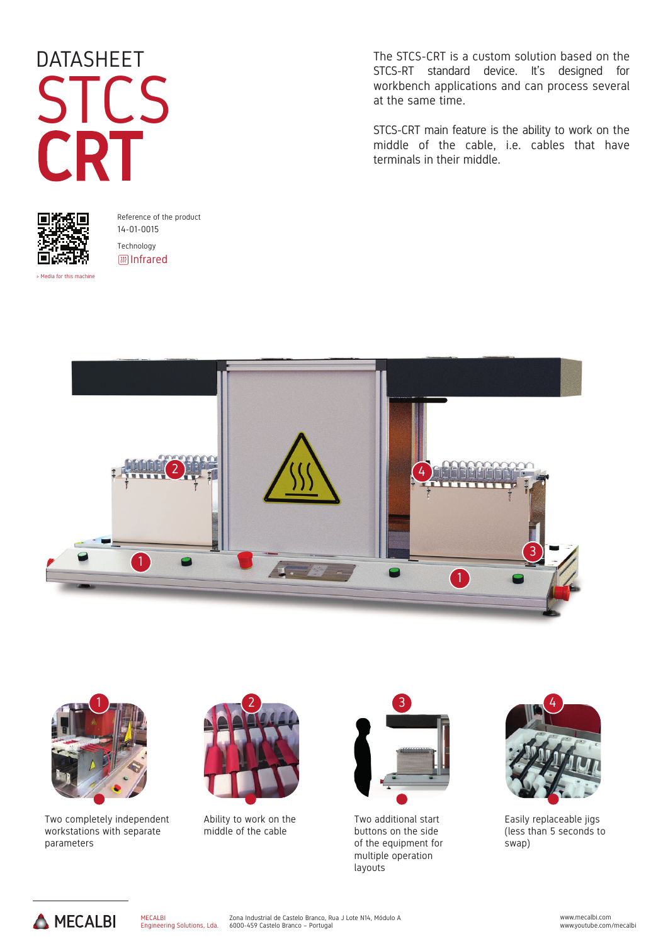# DATASHEET STCS CRT



Reference of the product 14-01-0015 Technology **III** Infrared

> Media for this machin

The STCS-CRT is a custom solution based on the STCS-RT standard device. It's designed for workbench applications and can process several at the same time.

STCS-CRT main feature is the ability to work on the middle of the cable, i.e. cables that have terminals in their middle.





Two completely independent workstations with separate parameters



Ability to work on the middle of the cable



Two additional start buttons on the side of the equipment for multiple operation layouts



Easily replaceable jigs (less than 5 seconds to swap)